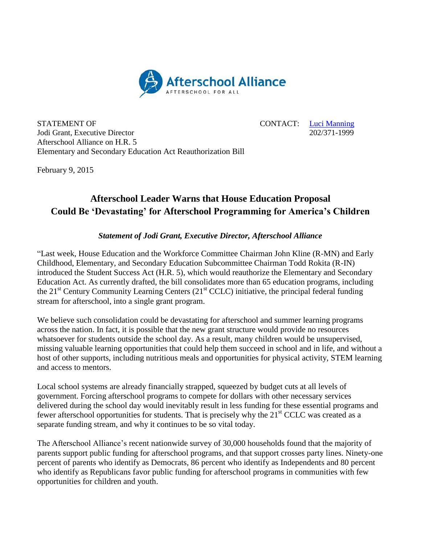

STATEMENT OF CONTACT:  $\frac{Luci \; Manning}{202/371-1999}$ Jodi Grant, Executive Director Afterschool Alliance on H.R. 5 Elementary and Secondary Education Act Reauthorization Bill

February 9, 2015

## **Afterschool Leader Warns that House Education Proposal Could Be 'Devastating' for Afterschool Programming for America's Children**

## *Statement of Jodi Grant, Executive Director, Afterschool Alliance*

"Last week, House Education and the Workforce Committee Chairman John Kline (R-MN) and Early Childhood, Elementary, and Secondary Education Subcommittee Chairman Todd Rokita (R-IN) introduced the Student Success Act (H.R. 5), which would reauthorize the Elementary and Secondary Education Act. As currently drafted, the bill consolidates more than 65 education programs, including the  $21<sup>st</sup>$  Century Community Learning Centers ( $21<sup>st</sup>$  CCLC) initiative, the principal federal funding stream for afterschool, into a single grant program.

We believe such consolidation could be devastating for afterschool and summer learning programs across the nation. In fact, it is possible that the new grant structure would provide no resources whatsoever for students outside the school day. As a result, many children would be unsupervised, missing valuable learning opportunities that could help them succeed in school and in life, and without a host of other supports, including nutritious meals and opportunities for physical activity, STEM learning and access to mentors.

Local school systems are already financially strapped, squeezed by budget cuts at all levels of government. Forcing afterschool programs to compete for dollars with other necessary services delivered during the school day would inevitably result in less funding for these essential programs and fewer afterschool opportunities for students. That is precisely why the  $21<sup>st</sup> CCLC$  was created as a separate funding stream, and why it continues to be so vital today.

The Afterschool Alliance's recent nationwide survey of 30,000 households found that the majority of parents support public funding for afterschool programs, and that support crosses party lines. Ninety-one percent of parents who identify as Democrats, 86 percent who identify as Independents and 80 percent who identify as Republicans favor public funding for afterschool programs in communities with few opportunities for children and youth.